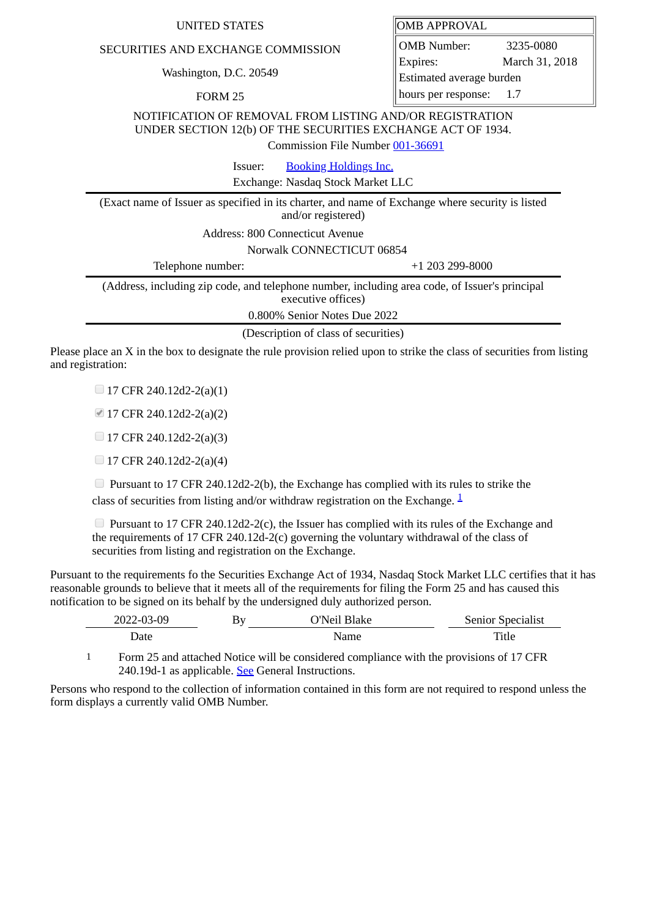## SECURITIES AND EXCHANGE COMMISSION

Washington, D.C. 20549

FORM 25

OMB APPROVAL

OMB Number: 3235-0080 Expires: March 31, 2018 Estimated average burden hours per response: 1.7

NOTIFICATION OF REMOVAL FROM LISTING AND/OR REGISTRATION UNDER SECTION 12(b) OF THE SECURITIES EXCHANGE ACT OF 1934.

Commission File Number [001-36691](file:///cgi-bin/browse-edgar?action=getcompany&filenum=001-36691)

Issuer: [Booking Holdings Inc.](http://www.sec.gov/cgi-bin/browse-edgar?action=getcompany&CIK=0001075531)

Exchange: Nasdaq Stock Market LLC

(Exact name of Issuer as specified in its charter, and name of Exchange where security is listed and/or registered)

Address: 800 Connecticut Avenue

Norwalk CONNECTICUT 06854

Telephone number: +1 203 299-8000 (Address, including zip code, and telephone number, including area code, of Issuer's principal

executive offices) 0.800% Senior Notes Due 2022

(Description of class of securities)

Please place an X in the box to designate the rule provision relied upon to strike the class of securities from listing and registration:

 $\Box$  17 CFR 240.12d2-2(a)(1)

17 CFR 240.12d2-2(a)(2)

 $\Box$  17 CFR 240.12d2-2(a)(3)

 $\Box$  17 CFR 240.12d2-2(a)(4)

 $\Box$  Pursuant to 17 CFR 240.12d2-2(b), the Exchange has complied with its rules to strike the class of securities from listing and/or withdraw registration on the Exchange.  $\frac{1}{2}$  $\frac{1}{2}$  $\frac{1}{2}$ 

**Pursuant to 17 CFR 240.12d2-2(c), the Issuer has complied with its rules of the Exchange and** the requirements of 17 CFR 240.12d-2(c) governing the voluntary withdrawal of the class of securities from listing and registration on the Exchange.

Pursuant to the requirements fo the Securities Exchange Act of 1934, Nasdaq Stock Market LLC certifies that it has reasonable grounds to believe that it meets all of the requirements for filing the Form 25 and has caused this notification to be signed on its behalf by the undersigned duly authorized person.

| 2022-03-09 | Bv | . انمN'^<br>Blake | <b>Senior Specialist</b> |
|------------|----|-------------------|--------------------------|
| 1ate       |    | Name              | Title                    |

<span id="page-0-0"></span>1 Form 25 and attached Notice will be considered compliance with the provisions of 17 CFR 240.19d-1 as applicable. See General Instructions.

Persons who respond to the collection of information contained in this form are not required to respond unless the form displays a currently valid OMB Number.